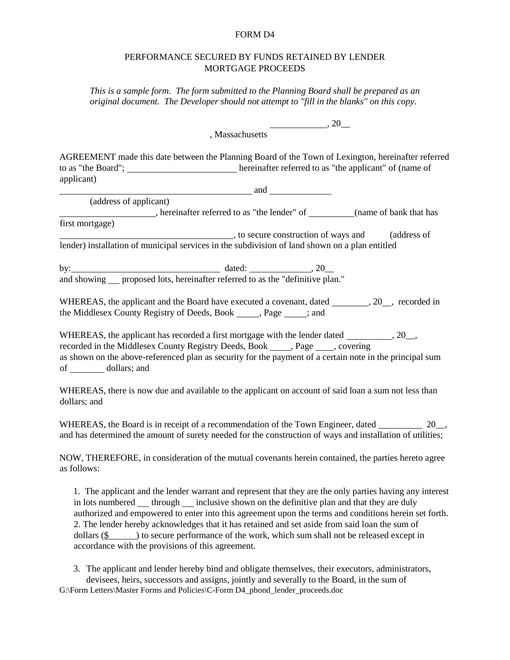## FORM D4

## PERFORMANCE SECURED BY FUNDS RETAINED BY LENDER MORTGAGE PROCEEDS

*This is a sample form. The form submitted to the Planning Board shall be prepared as an original document. The Developer should not attempt to "fill in the blanks" on this copy.*

> , 20\_\_ , Massachusetts

AGREEMENT made this date between the Planning Board of the Town of Lexington, hereinafter referred to as "the Board"; hereinafter referred to as "the applicant" of (name of applicant)

and

(address of applicant) , hereinafter referred to as "the lender" of \_\_\_\_\_\_\_\_(name of bank that has first mortgage)

 , to secure construction of ways and (address of lender) installation of municipal services in the subdivision of land shown on a plan entitled

by:  $\qquad \qquad \text{dated:} \qquad \qquad 20 \qquad \text{dated:}$ and showing <u>proposed lots</u>, hereinafter referred to as the "definitive plan."

WHEREAS, the applicant and the Board have executed a covenant, dated \_\_\_\_\_\_\_\_, 20\_\_, recorded in the Middlesex County Registry of Deeds, Book , Page ; and

WHEREAS, the applicant has recorded a first mortgage with the lender dated  $\qquad \qquad , 20$ , recorded in the Middlesex County Registry Deeds, Book , Page , covering as shown on the above-referenced plan as security for the payment of a certain note in the principal sum of dollars; and

WHEREAS, there is now due and available to the applicant on account of said loan a sum not less than dollars; and

WHEREAS, the Board is in receipt of a recommendation of the Town Engineer, dated 20\_, and has determined the amount of surety needed for the construction of ways and installation of utilities;

NOW, THEREFORE, in consideration of the mutual covenants herein contained, the parties hereto agree as follows:

1. The applicant and the lender warrant and represent that they are the only parties having any interest in lots numbered through inclusive shown on the definitive plan and that they are duly authorized and empowered to enter into this agreement upon the terms and conditions herein set forth. 2. The lender hereby acknowledges that it has retained and set aside from said loan the sum of dollars  $(\frac{6}{5})$  to secure performance of the work, which sum shall not be released except in accordance with the provisions of this agreement.

3. The applicant and lender hereby bind and obligate themselves, their executors, administrators, devisees, heirs, successors and assigns, jointly and severally to the Board, in the sum of G:\Form Letters\Master Forms and Policies\C-Form D4\_pbond\_lender\_proceeds.doc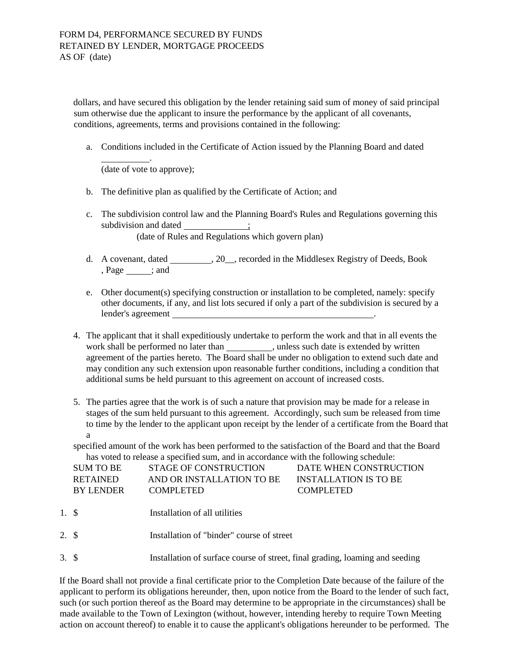dollars, and have secured this obligation by the lender retaining said sum of money of said principal sum otherwise due the applicant to insure the performance by the applicant of all covenants, conditions, agreements, terms and provisions contained in the following:

a. Conditions included in the Certificate of Action issued by the Planning Board and dated

(date of vote to approve);

.

- b. The definitive plan as qualified by the Certificate of Action; and
- c. The subdivision control law and the Planning Board's Rules and Regulations governing this subdivision and dated \_\_\_\_\_\_\_\_\_\_\_\_; (date of Rules and Regulations which govern plan)
- d. A covenant, dated \_\_\_\_\_\_\_, 20\_\_, recorded in the Middlesex Registry of Deeds, Book , Page ; and
- e. Other document(s) specifying construction or installation to be completed, namely: specify other documents, if any, and list lots secured if only a part of the subdivision is secured by a lender's agreement
- 4. The applicant that it shall expeditiously undertake to perform the work and that in all events the work shall be performed no later than \_\_\_\_\_\_\_\_\_\_\_, unless such date is extended by written agreement of the parties hereto. The Board shall be under no obligation to extend such date and may condition any such extension upon reasonable further conditions, including a condition that additional sums be held pursuant to this agreement on account of increased costs.
- 5. The parties agree that the work is of such a nature that provision may be made for a release in stages of the sum held pursuant to this agreement. Accordingly, such sum be released from time to time by the lender to the applicant upon receipt by the lender of a certificate from the Board that a

specified amount of the work has been performed to the satisfaction of the Board and that the Board has voted to release a specified sum, and in accordance with the following schedule:

| SUM TO BE        | STAGE OF CONSTRUCTION     | DATE WHEN CONSTRUCTION |
|------------------|---------------------------|------------------------|
| <b>RETAINED</b>  | AND OR INSTALLATION TO BE | INSTALLATION IS TO BE  |
| <b>BY LENDER</b> | <b>COMPLETED</b>          | <b>COMPLETED</b>       |
|                  |                           |                        |

- 1. \$ Installation of all utilities
- 2. \$ Installation of "binder" course of street
- 3. \$ Installation of surface course of street, final grading, loaming and seeding

If the Board shall not provide a final certificate prior to the Completion Date because of the failure of the applicant to perform its obligations hereunder, then, upon notice from the Board to the lender of such fact, such (or such portion thereof as the Board may determine to be appropriate in the circumstances) shall be made available to the Town of Lexington (without, however, intending hereby to require Town Meeting action on account thereof) to enable it to cause the applicant's obligations hereunder to be performed. The